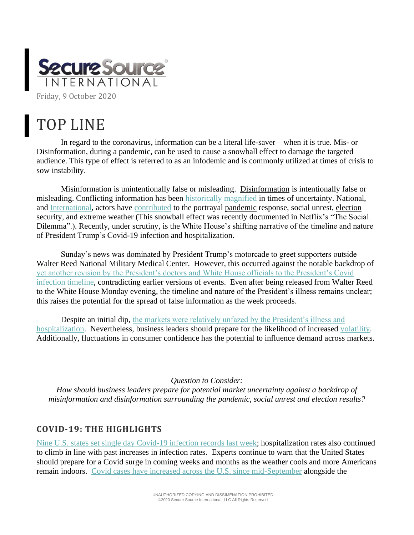

## TOP LINE

In regard to the coronavirus, information can be a literal life-saver – when it is true. Mis- or Disinformation, during a pandemic, can be used to cause a snowball effect to damage the targeted audience. This type of effect is referred to as an infodemic and is commonly utilized at times of crisis to sow instability.

Misinformation is unintentionally false or misleading. [Disinformation](https://www.defenseone.com/technology/2020/10/can-ai-detect-disinformation-new-special-operations-program-may-find-out/168972/) is intentionally false or misleading. Conflicting information has been [historically magnified](https://www.wired.com/story/russia-secondary-infektion-disinformation/) in times of uncertainty. National, and [International,](https://www.reuters.com/article/usa-election-russia-disinformation/exclusive-russian-operation-masqueraded-as-right-wing-news-site-to-target-u-s-voters-sources-idUSKBN26M5OP) actors have [contributed](https://medium.com/swlh/watch-six-decade-long-disinformation-operations-unfold-in-six-minutes-5f69a7e75fb3) to the portrayal [pandemic](https://www.nytimes.com/2020/07/28/us/politics/russia-disinformation-coronavirus.html) response, social unrest, [election](https://twitter.com/katestarbird/status/1302621910878969856) security, and extreme weather (This snowball effect was recently documented in Netflix's "The Social Dilemma".). Recently, under scrutiny, is the White House's shifting narrative of the timeline and nature of President Trump's Covid-19 infection and hospitalization.

Sunday's news was dominated by President Trump's motorcade to greet supporters outside Walter Reed National Military Medical Center. However, this occurred against the notable backdrop of [yet another revision by the President's doctors and White House officials to the President's Covid](https://www.nytimes.com/2020/10/04/us/politics/trump-virus.html?searchResultPosition=2)  [infection timeline,](https://www.nytimes.com/2020/10/04/us/politics/trump-virus.html?searchResultPosition=2) contradicting earlier versions of events. Even after being released from Walter Reed to the White House Monday evening, the timeline and nature of the President's illness remains unclear; this raises the potential for the spread of false information as the week proceeds.

Despite an initial dip, the markets were relatively unfazed by the President's illness and [hospitalization.](https://www.cnn.com/2020/10/05/investing/stock-market-trump-covid/index.html) Nevertheless, business leaders should prepare for the likelihood of increased [volatility.](https://economictimes.indiatimes.com/markets/stocks/news/beware-jim-rogers-says-time-bomb-ticking-in-stock-markets/articleshow/78359187.cms) Additionally, fluctuations in consumer confidence has the potential to influence demand across markets.

*Question to Consider:*

*How should business leaders prepare for potential market uncertainty against a backdrop of misinformation and disinformation surrounding the pandemic, social unrest and election results?*

## **COVID-19: THE HIGHLIGHTS**

[Nine U.S. states set single day Covid-19 infection records last week;](https://www.axios.com/state-coronavirus-infection-records-dacd090e-3fa3-4e1b-9aa7-76e1a2690418.html) hospitalization rates also continued to climb in line with past increases in infection rates. Experts continue to warn that the United States should prepare for a Covid surge in coming weeks and months as the weather cools and more Americans remain indoors. [Covid cases have increased across the U.S. since mid-September](https://www.vox.com/future-perfect/2020/9/28/21451436/covid-19-coronavirus-pandemic-fall-winter-third-wave) alongside the